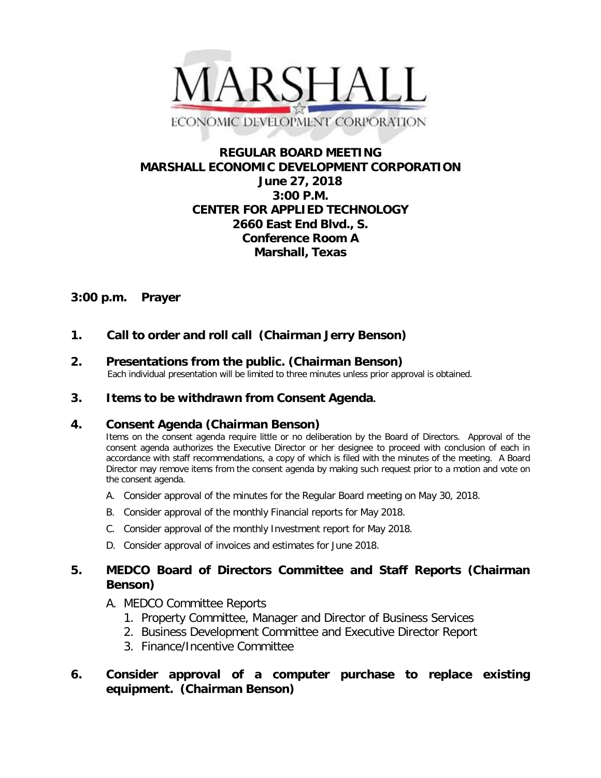

# **REGULAR BOARD MEETING MARSHALL ECONOMIC DEVELOPMENT CORPORATION June 27, 2018 3:00 P.M. CENTER FOR APPLIED TECHNOLOGY 2660 East End Blvd., S. Conference Room A Marshall, Texas**

## **3:00 p.m. Prayer**

# **1. Call to order and roll call (Chairman Jerry Benson)**

**2. Presentations from the public. (Chairman Benson)**<br>Each individual presentation will be limited to three minutes unless prior approval is obtained.

## **3. Items to be withdrawn from Consent Agenda.**

## **4. Consent Agenda (Chairman Benson)**

Items on the consent agenda require little or no deliberation by the Board of Directors. Approval of the consent agenda authorizes the Executive Director or her designee to proceed with conclusion of each in accordance with staff recommendations, a copy of which is filed with the minutes of the meeting. A Board Director may remove items from the consent agenda by making such request prior to a motion and vote on the consent agenda.

- A. Consider approval of the minutes for the Regular Board meeting on May 30, 2018.
- B. Consider approval of the monthly Financial reports for May 2018.
- C. Consider approval of the monthly Investment report for May 2018.
- D. Consider approval of invoices and estimates for June 2018.

## **5. MEDCO Board of Directors Committee and Staff Reports (Chairman Benson)**

- A. MEDCO Committee Reports
	- 1. Property Committee, Manager and Director of Business Services
	- 2. Business Development Committee and Executive Director Report
	- 3. Finance/Incentive Committee

## **6. Consider approval of a computer purchase to replace existing equipment. (Chairman Benson)**